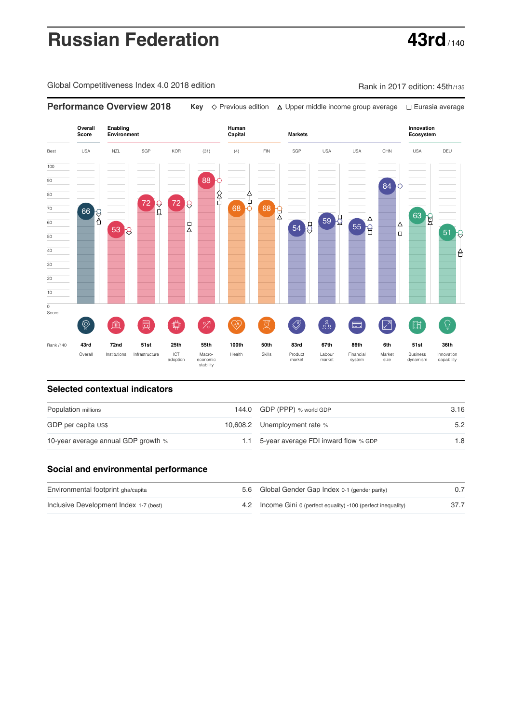# **Russian Federation 43rd**

Global Competitiveness Index 4.0 2018 edition Company Rank in 2017 edition: 45th/135



### **Selected contextual indicators**

| Population millions                 | 144.0 GDP (PPP) % world GDP              | 3.16 |  |
|-------------------------------------|------------------------------------------|------|--|
| GDP per capita US\$                 | 10,608.2 Unemployment rate %             | 5.2  |  |
| 10-year average annual GDP growth % | 1.1 5-year average FDI inward flow % GDP | 1.8  |  |

## **Social and environmental performance**

| Environmental footprint gha/capita     |  | 5.6 Global Gender Gap Index 0-1 (gender parity)                |  |
|----------------------------------------|--|----------------------------------------------------------------|--|
| Inclusive Development Index 1-7 (best) |  | 4.2 Income Gini 0 (perfect equality) -100 (perfect inequality) |  |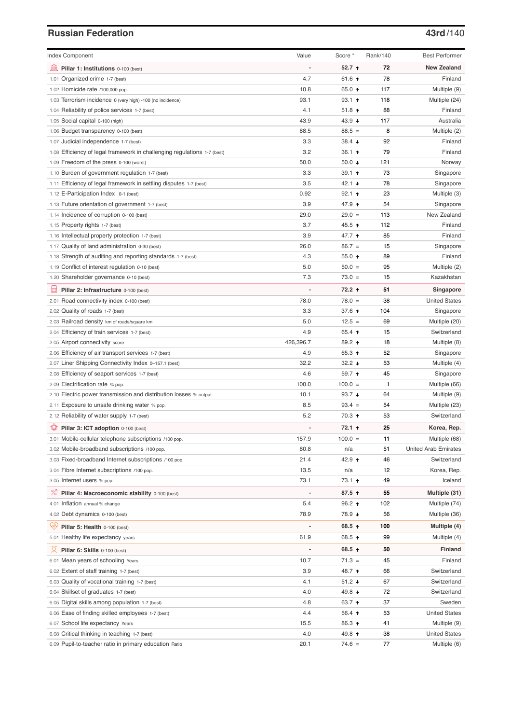# **Russian Federation 13rd**/140

| <b>Index Component</b>                                                   | Value                    | Score *         | Rank/140 | <b>Best Performer</b>       |
|--------------------------------------------------------------------------|--------------------------|-----------------|----------|-----------------------------|
| 寙<br>Pillar 1: Institutions 0-100 (best)                                 | Ĭ.                       | 52.7 个          | 72       | <b>New Zealand</b>          |
| 1.01 Organized crime 1-7 (best)                                          | 4.7                      | 61.6 ↑          | 78       | Finland                     |
| 1.02 Homicide rate /100,000 pop.                                         | 10.8                     | 65.0 ↑          | 117      | Multiple (9)                |
| 1.03 Terrorism incidence 0 (very high) -100 (no incidence)               | 93.1                     | $93.1$ 1        | 118      | Multiple (24)               |
| 1.04 Reliability of police services 1-7 (best)                           | 4.1                      | $51.8$ 1        | 88       | Finland                     |
| 1.05 Social capital 0-100 (high)                                         | 43.9                     | 43.9 ↓          | 117      | Australia                   |
| 1.06 Budget transparency 0-100 (best)                                    | 88.5                     | $88.5 =$        | 8        | Multiple (2)                |
| 1.07 Judicial independence 1-7 (best)                                    | 3.3                      | $38.4 +$        | 92       | Finland                     |
| 1.08 Efficiency of legal framework in challenging regulations 1-7 (best) | 3.2                      | 36.1 ↑          | 79       | Finland                     |
| 1.09 Freedom of the press 0-100 (worst)                                  | 50.0                     | 50.0 $\sqrt{ }$ | 121      | Norway                      |
| 1.10 Burden of government regulation 1-7 (best)                          | 3.3                      | 39.1 ↑          | 73       | Singapore                   |
| 1.11 Efficiency of legal framework in settling disputes 1-7 (best)       | 3.5                      | 42.1 $\sqrt{ }$ | 78       | Singapore                   |
| 1.12 E-Participation Index 0-1 (best)                                    | 0.92                     | $92.1$ 1        | 23       | Multiple (3)                |
| 1.13 Future orientation of government 1-7 (best)                         | 3.9                      | 47.9 ↑          | 54       | Singapore                   |
| 1.14 Incidence of corruption 0-100 (best)                                | 29.0                     | $29.0 =$        | 113      | New Zealand                 |
| 1.15 Property rights 1-7 (best)                                          | 3.7                      | 45.5 ↑          | 112      | Finland                     |
| 1.16 Intellectual property protection 1-7 (best)                         | 3.9                      | 47.7 ↑          | 85       | Finland                     |
| 1.17 Quality of land administration 0-30 (best)                          | 26.0                     | $86.7 =$        | 15       | Singapore                   |
| 1.18 Strength of auditing and reporting standards 1-7 (best)             | 4.3                      | 55.0 $\uparrow$ | 89       | Finland                     |
| 1.19 Conflict of interest regulation 0-10 (best)                         | 5.0                      | $50.0 =$        | 95       | Multiple (2)                |
| 1.20 Shareholder governance 0-10 (best)                                  | 7.3                      | $73.0 =$        | 15       | Kazakhstan                  |
| 員<br>Pillar 2: Infrastructure 0-100 (best)                               | ÷,                       | 72.2 ↑          | 51       | Singapore                   |
| 2.01 Road connectivity index 0-100 (best)                                | 78.0                     | $78.0 =$        | 38       | <b>United States</b>        |
| 2.02 Quality of roads 1-7 (best)                                         | 3.3                      | 37.6 个          | 104      | Singapore                   |
| 2.03 Railroad density km of roads/square km                              | 5.0                      | $12.5 =$        | 69       | Multiple (20)               |
| 2.04 Efficiency of train services 1-7 (best)                             | 4.9                      | 65.4 ↑          | 15       | Switzerland                 |
| 2.05 Airport connectivity score                                          | 426,396.7                | 89.2 ↑          | 18       | Multiple (8)                |
| 2.06 Efficiency of air transport services 1-7 (best)                     | 4.9                      | 65.3 ↑          | 52       | Singapore                   |
| 2.07 Liner Shipping Connectivity Index 0-157.1 (best)                    | 32.2                     | $32.2 +$        | 53       | Multiple (4)                |
| 2.08 Efficiency of seaport services 1-7 (best)                           | 4.6                      | 59.7 ↑          | 45       | Singapore                   |
| 2.09 Electrification rate % pop.                                         | 100.0                    | $100.0 =$       | 1        | Multiple (66)               |
| 2.10 Electric power transmission and distribution losses % output        | 10.1                     | 93.7 $\sqrt{ }$ | 64       | Multiple (9)                |
| 2.11 Exposure to unsafe drinking water % pop.                            | 8.5                      | $93.4 =$        | 54       | Multiple (23)               |
| 2.12 Reliability of water supply 1-7 (best)                              | 5.2                      | 70.3 ↑          | 53       | Switzerland                 |
| O<br>Pillar 3: ICT adoption 0-100 (best)                                 |                          | 72.1 ↑          | 25       | Korea, Rep.                 |
| 3.01 Mobile-cellular telephone subscriptions /100 pop.                   | 157.9                    | $100.0 =$       | 11       | Multiple (68)               |
| 3.02 Mobile-broadband subscriptions /100 pop.                            | 80.8                     | n/a             | 51       | <b>United Arab Emirates</b> |
| 3.03 Fixed-broadband Internet subscriptions /100 pop.                    | 21.4                     | 42.9 ↑          | 46       | Switzerland                 |
| 3.04 Fibre Internet subscriptions /100 pop.                              | 13.5                     | n/a             | 12       | Korea, Rep.                 |
| 3.05 Internet users % pop.                                               | 73.1                     | 73.1 个          | 49       | Iceland                     |
| ℅<br>Pillar 4: Macroeconomic stability 0-100 (best)                      | $\overline{\phantom{a}}$ | 87.5 ↑          | 55       | Multiple (31)               |
| 4.01 Inflation annual % change                                           | 5.4                      | $96.2$ ↑        | 102      | Multiple (74)               |
| 4.02 Debt dynamics 0-100 (best)                                          | 78.9                     | 78.9 ↓          | 56       | Multiple (36)               |
| Qÿ<br>Pillar 5: Health 0-100 (best)                                      |                          | 68.5 ↑          | 100      | Multiple (4)                |
| 5.01 Healthy life expectancy years                                       | 61.9                     | 68.5 ↑          | 99       | Multiple (4)                |
|                                                                          |                          |                 |          |                             |
| 섯<br>Pillar 6: Skills 0-100 (best)                                       |                          | 68.5 ↑          | 50       | Finland                     |
| 6.01 Mean years of schooling Years                                       | 10.7                     | $71.3 =$        | 45       | Finland                     |
| 6.02 Extent of staff training 1-7 (best)                                 | 3.9                      | 48.7 ተ          | 66       | Switzerland                 |
| 6.03 Quality of vocational training 1-7 (best)                           | 4.1                      | 51.2 $\sqrt{ }$ | 67       | Switzerland                 |
| 6.04 Skillset of graduates 1-7 (best)                                    | 4.0                      | 49.8 ↓          | 72       | Switzerland                 |
| 6.05 Digital skills among population 1-7 (best)                          | 4.8                      | 63.7 ↑          | 37       | Sweden                      |
| 6.06 Ease of finding skilled employees 1-7 (best)                        | 4.4                      | 56.4 ↑          | 53       | <b>United States</b>        |
| 6.07 School life expectancy Years                                        | 15.5                     | 86.3 ↑          | 41       | Multiple (9)                |
| 6.08 Critical thinking in teaching 1-7 (best)                            | 4.0                      | 49.8 ↑          | 38       | <b>United States</b>        |
| 6.09 Pupil-to-teacher ratio in primary education Ratio                   | 20.1                     | $74.6 =$        | 77       | Multiple (6)                |